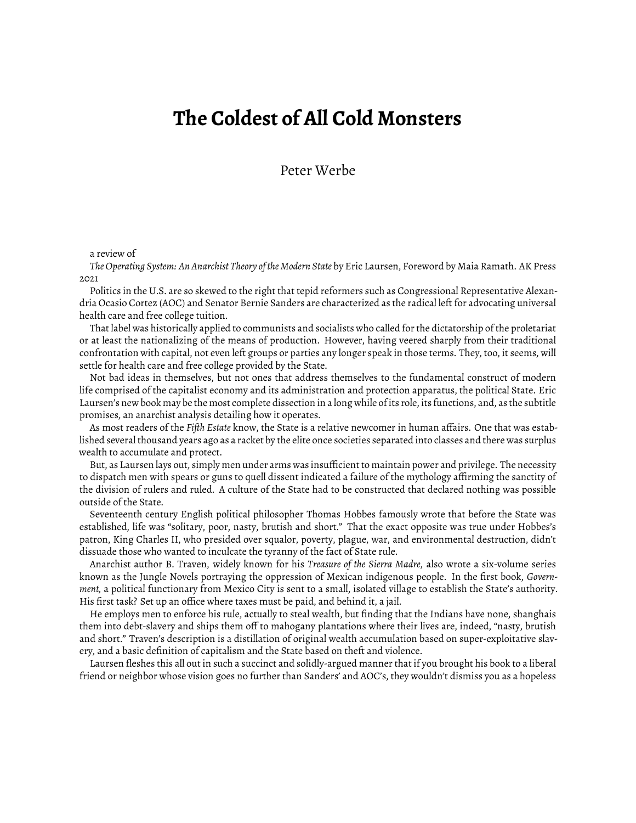## **The Coldest of All Cold Monsters**

Peter Werbe

## a review of

*The Operating System: An Anarchist Theory of the Modern State* by Eric Laursen, Foreword by Maia Ramath. AK Press 2021

Politics in the U.S. are so skewed to the right that tepid reformers such as Congressional Representative Alexandria Ocasio Cortez (AOC) and Senator Bernie Sanders are characterized as the radical left for advocating universal health care and free college tuition.

That label was historically applied to communists and socialists who called for the dictatorship of the proletariat or at least the nationalizing of the means of production. However, having veered sharply from their traditional confrontation with capital, not even left groups or parties any longer speak in those terms. They, too, it seems, will settle for health care and free college provided by the State.

Not bad ideas in themselves, but not ones that address themselves to the fundamental construct of modern life comprised of the capitalist economy and its administration and protection apparatus, the political State. Eric Laursen's new book may be the most complete dissection in a long while of its role, its functions, and, as the subtitle promises, an anarchist analysis detailing how it operates.

As most readers of the *Fifth Estate* know, the State is a relative newcomer in human affairs. One that was established several thousand years ago as a racket by the elite once societies separated into classes and there was surplus wealth to accumulate and protect.

But, as Laursen lays out, simply men under arms was insufficient to maintain power and privilege. The necessity to dispatch men with spears or guns to quell dissent indicated a failure of the mythology affirming the sanctity of the division of rulers and ruled. A culture of the State had to be constructed that declared nothing was possible outside of the State.

Seventeenth century English political philosopher Thomas Hobbes famously wrote that before the State was established, life was "solitary, poor, nasty, brutish and short." That the exact opposite was true under Hobbes's patron, King Charles II, who presided over squalor, poverty, plague, war, and environmental destruction, didn't dissuade those who wanted to inculcate the tyranny of the fact of State rule.

Anarchist author B. Traven, widely known for his *Treasure of the Sierra Madre*, also wrote a six-volume series known as the Jungle Novels portraying the oppression of Mexican indigenous people. In the first book, *Government,* a political functionary from Mexico City is sent to a small, isolated village to establish the State's authority. His first task? Set up an office where taxes must be paid, and behind it, a jail.

He employs men to enforce his rule, actually to steal wealth, but finding that the Indians have none, shanghais them into debt-slavery and ships them off to mahogany plantations where their lives are, indeed, "nasty, brutish and short." Traven's description is a distillation of original wealth accumulation based on super-exploitative slavery, and a basic definition of capitalism and the State based on theft and violence.

Laursen fleshes this all out in such a succinct and solidly-argued manner that if you brought his book to a liberal friend or neighbor whose vision goes no further than Sanders' and AOC's, they wouldn't dismiss you as a hopeless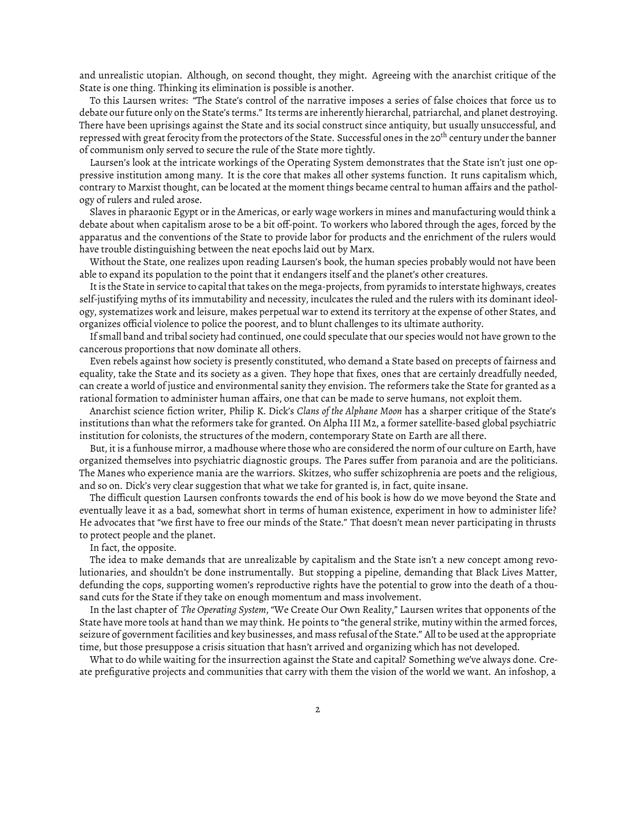and unrealistic utopian. Although, on second thought, they might. Agreeing with the anarchist critique of the State is one thing. Thinking its elimination is possible is another.

To this Laursen writes: "The State's control of the narrative imposes a series of false choices that force us to debate our future only on the State's terms." Its terms are inherently hierarchal, patriarchal, and planet destroying. There have been uprisings against the State and its social construct since antiquity, but usually unsuccessful, and repressed with great ferocity from the protectors of the State. Successful ones in the 20<sup>th</sup> century under the banner of communism only served to secure the rule of the State more tightly.

Laursen's look at the intricate workings of the Operating System demonstrates that the State isn't just one oppressive institution among many. It is the core that makes all other systems function. It runs capitalism which, contrary to Marxist thought, can be located at the moment things became central to human affairs and the pathology of rulers and ruled arose.

Slaves in pharaonic Egypt or in the Americas, or early wage workers in mines and manufacturing would think a debate about when capitalism arose to be a bit off-point. To workers who labored through the ages, forced by the apparatus and the conventions of the State to provide labor for products and the enrichment of the rulers would have trouble distinguishing between the neat epochs laid out by Marx.

Without the State, one realizes upon reading Laursen's book, the human species probably would not have been able to expand its population to the point that it endangers itself and the planet's other creatures.

It is the State in service to capital that takes on the mega-projects, from pyramids to interstate highways, creates self-justifying myths of its immutability and necessity, inculcates the ruled and the rulers with its dominant ideology, systematizes work and leisure, makes perpetual war to extend its territory at the expense of other States, and organizes official violence to police the poorest, and to blunt challenges to its ultimate authority.

If small band and tribal society had continued, one could speculate that our species would not have grown to the cancerous proportions that now dominate all others.

Even rebels against how society is presently constituted, who demand a State based on precepts of fairness and equality, take the State and its society as a given. They hope that fixes, ones that are certainly dreadfully needed, can create a world of justice and environmental sanity they envision. The reformers take the State for granted as a rational formation to administer human affairs, one that can be made to serve humans, not exploit them.

Anarchist science fiction writer, Philip K. Dick's *Clans of the Alphane Moon* has a sharper critique of the State's institutions than what the reformers take for granted. On Alpha III M2, a former satellite-based global psychiatric institution for colonists, the structures of the modern, contemporary State on Earth are all there.

But, it is a funhouse mirror, a madhouse where those who are considered the norm of our culture on Earth, have organized themselves into psychiatric diagnostic groups. The Pares suffer from paranoia and are the politicians. The Manes who experience mania are the warriors. Skitzes, who suffer schizophrenia are poets and the religious, and so on. Dick's very clear suggestion that what we take for granted is, in fact, quite insane.

The difficult question Laursen confronts towards the end of his book is how do we move beyond the State and eventually leave it as a bad, somewhat short in terms of human existence, experiment in how to administer life? He advocates that "we first have to free our minds of the State." That doesn't mean never participating in thrusts to protect people and the planet.

In fact, the opposite.

The idea to make demands that are unrealizable by capitalism and the State isn't a new concept among revolutionaries, and shouldn't be done instrumentally. But stopping a pipeline, demanding that Black Lives Matter, defunding the cops, supporting women's reproductive rights have the potential to grow into the death of a thousand cuts for the State if they take on enough momentum and mass involvement.

In the last chapter of *The Operating System*, "We Create Our Own Reality," Laursen writes that opponents of the State have more tools at hand than we may think. He points to "the general strike, mutiny within the armed forces, seizure of government facilities and key businesses, and mass refusal of the State." All to be used at the appropriate time, but those presuppose a crisis situation that hasn't arrived and organizing which has not developed.

What to do while waiting for the insurrection against the State and capital? Something we've always done. Create prefigurative projects and communities that carry with them the vision of the world we want. An infoshop, a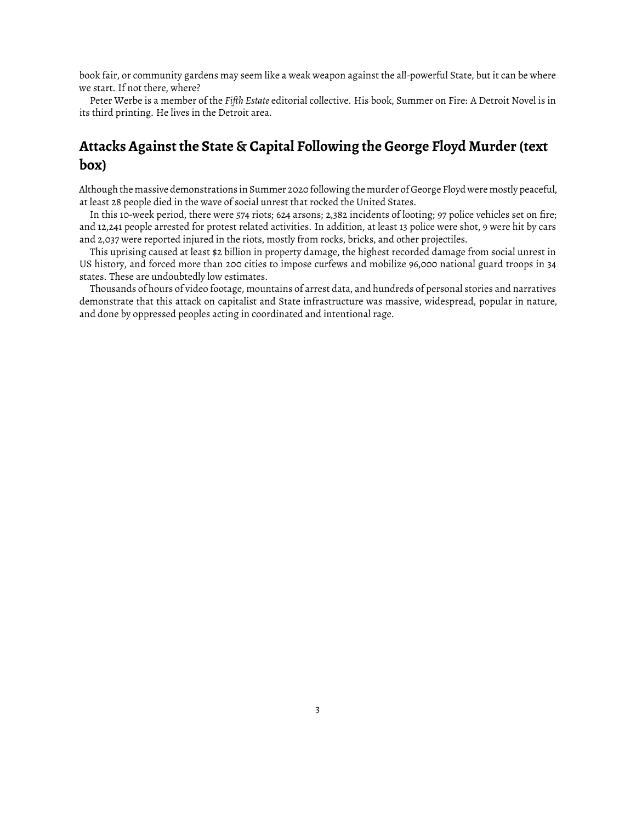book fair, or community gardens may seem like a weak weapon against the all-powerful State, but it can be where we start. If not there, where?

Peter Werbe is a member of the *Fifth Estate* editorial collective. His book, Summer on Fire: A Detroit Novel is in its third printing. He lives in the Detroit area.

## **Attacks Against the State & Capital Following the George Floyd Murder (text box)**

Although the massive demonstrations in Summer 2020 following the murder of George Floyd were mostly peaceful, at least 28 people died in the wave of social unrest that rocked the United States.

In this 10-week period, there were 574 riots; 624 arsons; 2,382 incidents of looting; 97 police vehicles set on fire; and 12,241 people arrested for protest related activities. In addition, at least 13 police were shot, 9 were hit by cars and 2,037 were reported injured in the riots, mostly from rocks, bricks, and other projectiles.

This uprising caused at least \$2 billion in property damage, the highest recorded damage from social unrest in US history, and forced more than 200 cities to impose curfews and mobilize 96,000 national guard troops in 34 states. These are undoubtedly low estimates.

Thousands of hours of video footage, mountains of arrest data, and hundreds of personal stories and narratives demonstrate that this attack on capitalist and State infrastructure was massive, widespread, popular in nature, and done by oppressed peoples acting in coordinated and intentional rage.